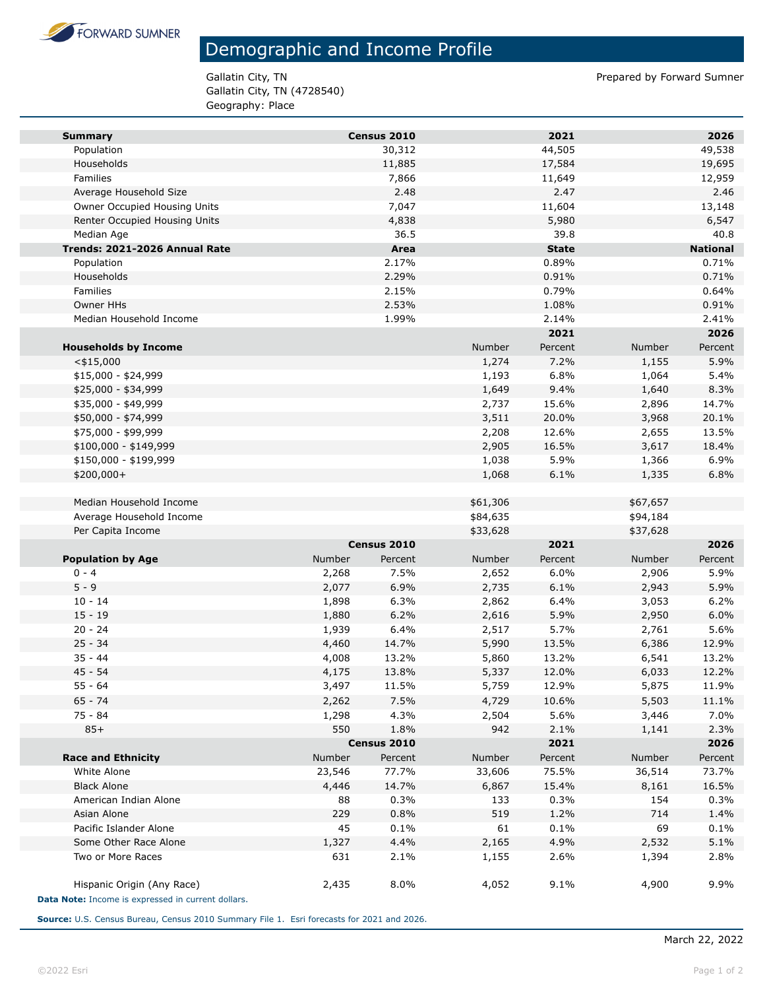

## Demographic and Income Profile

Gallatin City, TN (4728540) Geography: Place

Gallatin City, TN **Prepared by Forward Sumner** 

| <b>Summary</b>                                     |               | Census 2010 |          | 2021         |          | 2026            |
|----------------------------------------------------|---------------|-------------|----------|--------------|----------|-----------------|
| Population                                         |               | 30,312      |          | 44,505       |          | 49,538          |
| Households                                         |               | 11,885      |          | 17,584       |          | 19,695          |
| Families                                           |               | 7,866       |          | 11,649       |          | 12,959          |
| Average Household Size                             |               | 2.48        |          | 2.47         |          | 2.46            |
| Owner Occupied Housing Units                       |               | 7,047       |          | 11,604       |          | 13,148          |
| Renter Occupied Housing Units                      |               | 4,838       |          | 5,980        |          | 6,547           |
| Median Age                                         |               | 36.5        |          | 39.8         |          | 40.8            |
| Trends: 2021-2026 Annual Rate                      |               | Area        |          | <b>State</b> |          | <b>National</b> |
| Population                                         |               | 2.17%       |          | 0.89%        |          | 0.71%           |
| Households                                         |               | 2.29%       |          | 0.91%        |          | 0.71%           |
| Families                                           |               | 2.15%       |          | 0.79%        |          | 0.64%           |
| <b>Owner HHs</b>                                   |               | 2.53%       |          | 1.08%        |          | 0.91%           |
| Median Household Income                            |               | 1.99%       |          | 2.14%        |          | 2.41%           |
|                                                    |               |             |          | 2021         |          | 2026            |
| <b>Households by Income</b>                        |               |             | Number   | Percent      | Number   | Percent         |
| $<$ \$15,000                                       |               |             | 1,274    | 7.2%         | 1,155    | 5.9%            |
| $$15,000 - $24,999$                                |               |             | 1,193    | 6.8%         | 1,064    | 5.4%            |
| \$25,000 - \$34,999                                |               |             | 1,649    | 9.4%         | 1,640    | 8.3%            |
| \$35,000 - \$49,999                                |               |             | 2,737    | 15.6%        | 2,896    | 14.7%           |
| \$50,000 - \$74,999                                |               |             | 3,511    | 20.0%        | 3,968    | 20.1%           |
| \$75,000 - \$99,999                                |               |             | 2,208    | 12.6%        | 2,655    | 13.5%           |
| \$100,000 - \$149,999                              |               |             | 2,905    | 16.5%        | 3,617    | 18.4%           |
| \$150,000 - \$199,999                              |               |             | 1,038    | 5.9%         | 1,366    | 6.9%            |
| \$200,000+                                         |               |             | 1,068    | 6.1%         | 1,335    | 6.8%            |
|                                                    |               |             |          |              |          |                 |
| Median Household Income                            |               |             | \$61,306 |              | \$67,657 |                 |
| Average Household Income                           |               |             | \$84,635 |              | \$94,184 |                 |
| Per Capita Income                                  |               | Census 2010 | \$33,628 | 2021         | \$37,628 | 2026            |
| <b>Population by Age</b>                           | Number        | Percent     | Number   | Percent      | Number   | Percent         |
| $0 - 4$                                            | 2,268         | 7.5%        | 2,652    | 6.0%         | 2,906    | 5.9%            |
| $5 - 9$                                            | 2,077         | 6.9%        | 2,735    | 6.1%         | 2,943    | 5.9%            |
| $10 - 14$                                          | 1,898         | 6.3%        | 2,862    | 6.4%         | 3,053    | 6.2%            |
| $15 - 19$                                          | 1,880         | 6.2%        | 2,616    | 5.9%         | 2,950    | 6.0%            |
| $20 - 24$                                          | 1,939         | 6.4%        | 2,517    | 5.7%         | 2,761    | 5.6%            |
| $25 - 34$                                          | 4,460         | 14.7%       | 5,990    | 13.5%        | 6,386    | 12.9%           |
| $35 - 44$                                          | 4,008         | 13.2%       | 5,860    | 13.2%        | 6,541    | 13.2%           |
| $45 - 54$                                          | 4,175         | 13.8%       | 5,337    | 12.0%        | 6,033    | 12.2%           |
| $55 - 64$                                          | 3,497         | 11.5%       | 5,759    | 12.9%        | 5,875    | 11.9%           |
| $65 - 74$                                          | 2,262         | 7.5%        | 4,729    | 10.6%        | 5,503    | 11.1%           |
| 75 - 84                                            | 1,298         | 4.3%        | 2,504    | 5.6%         | 3,446    | 7.0%            |
| $85+$                                              | 550           | 1.8%        | 942      | 2.1%         | 1,141    | 2.3%            |
|                                                    |               | Census 2010 |          | 2021         |          | 2026            |
| <b>Race and Ethnicity</b>                          | <b>Number</b> | Percent     | Number   | Percent      | Number   | Percent         |
| White Alone                                        | 23,546        | 77.7%       | 33,606   | 75.5%        | 36,514   | 73.7%           |
| <b>Black Alone</b>                                 | 4,446         | 14.7%       | 6,867    | 15.4%        | 8,161    | 16.5%           |
| American Indian Alone                              | 88            | 0.3%        | 133      | 0.3%         | 154      | 0.3%            |
| Asian Alone                                        | 229           | 0.8%        | 519      | 1.2%         | 714      | 1.4%            |
| Pacific Islander Alone                             | 45            | 0.1%        | 61       | 0.1%         | 69       | 0.1%            |
| Some Other Race Alone                              | 1,327         | 4.4%        | 2,165    | 4.9%         | 2,532    | 5.1%            |
| Two or More Races                                  | 631           | 2.1%        | 1,155    | 2.6%         | 1,394    | 2.8%            |
| Hispanic Origin (Any Race)                         | 2,435         | 8.0%        | 4,052    | 9.1%         | 4,900    | 9.9%            |
| Data Note: Income is expressed in current dollars. |               |             |          |              |          |                 |

**Source:** U.S. Census Bureau, Census 2010 Summary File 1. Esri forecasts for 2021 and 2026.